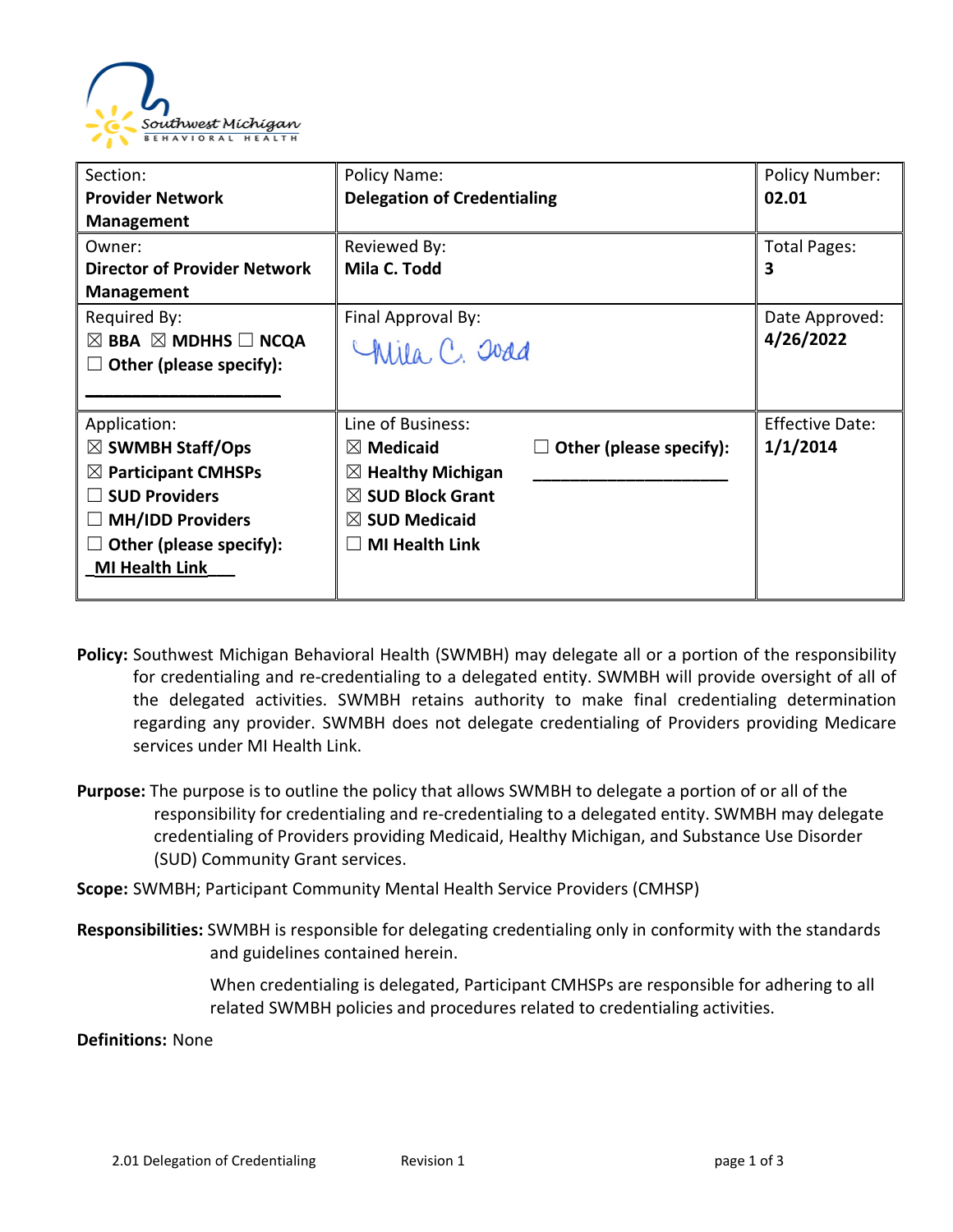

| Section:                                      | Policy Name:                       |                              | <b>Policy Number:</b>  |
|-----------------------------------------------|------------------------------------|------------------------------|------------------------|
| <b>Provider Network</b>                       | <b>Delegation of Credentialing</b> |                              | 02.01                  |
| <b>Management</b>                             |                                    |                              |                        |
| Owner:                                        | Reviewed By:                       |                              | Total Pages:           |
| <b>Director of Provider Network</b>           | Mila C. Todd                       |                              | 3                      |
| <b>Management</b>                             |                                    |                              |                        |
| Required By:                                  | Final Approval By:                 |                              | Date Approved:         |
| $\boxtimes$ BBA $\boxtimes$ MDHHS $\Box$ NCQA | Chila, C. Joad                     |                              | 4/26/2022              |
| Other (please specify):                       |                                    |                              |                        |
|                                               |                                    |                              |                        |
| Application:                                  | Line of Business:                  |                              | <b>Effective Date:</b> |
| $\boxtimes$ SWMBH Staff/Ops                   | $\boxtimes$ Medicaid               | Other (please specify):<br>ப | 1/1/2014               |
| $\boxtimes$ Participant CMHSPs                | $\boxtimes$ Healthy Michigan       |                              |                        |
| <b>SUD Providers</b>                          | $\boxtimes$ SUD Block Grant        |                              |                        |
| <b>MH/IDD Providers</b>                       | $\boxtimes$ SUD Medicaid           |                              |                        |
| Other (please specify):                       | <b>MI Health Link</b>              |                              |                        |
| <b>MI Health Link</b>                         |                                    |                              |                        |
|                                               |                                    |                              |                        |

- **Policy:** Southwest Michigan Behavioral Health (SWMBH) may delegate all or a portion of the responsibility for credentialing and re-credentialing to a delegated entity. SWMBH will provide oversight of all of the delegated activities. SWMBH retains authority to make final credentialing determination regarding any provider. SWMBH does not delegate credentialing of Providers providing Medicare services under MI Health Link.
- **Purpose:** The purpose is to outline the policy that allows SWMBH to delegate a portion of or all of the responsibility for credentialing and re-credentialing to a delegated entity. SWMBH may delegate credentialing of Providers providing Medicaid, Healthy Michigan, and Substance Use Disorder (SUD) Community Grant services.
- **Scope:** SWMBH; Participant Community Mental Health Service Providers (CMHSP)
- **Responsibilities:** SWMBH is responsible for delegating credentialing only in conformity with the standards and guidelines contained herein.

When credentialing is delegated, Participant CMHSPs are responsible for adhering to all related SWMBH policies and procedures related to credentialing activities.

**Definitions:** None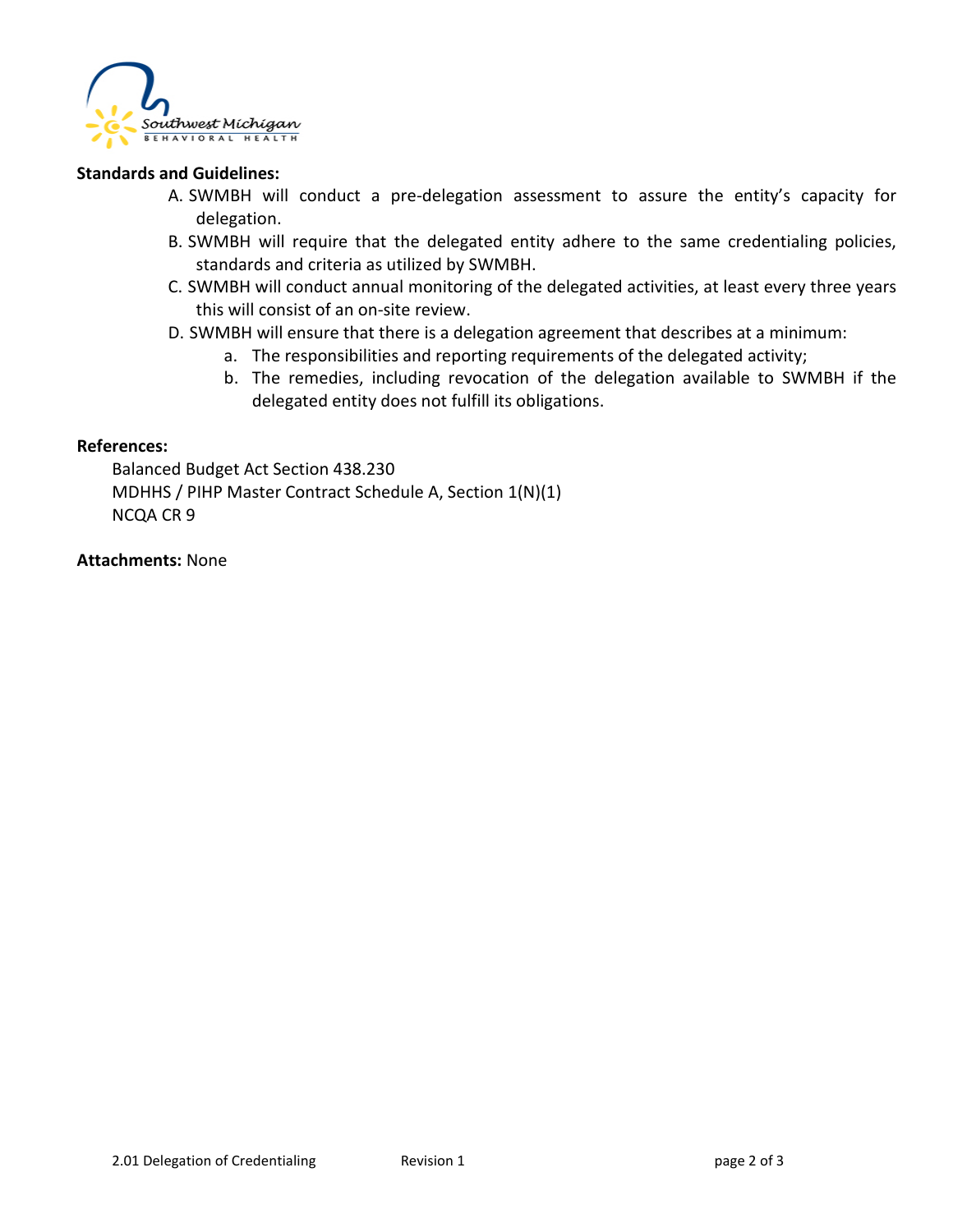

## **Standards and Guidelines:**

- A. SWMBH will conduct a pre-delegation assessment to assure the entity's capacity for delegation.
- B. SWMBH will require that the delegated entity adhere to the same credentialing policies, standards and criteria as utilized by SWMBH.
- C. SWMBH will conduct annual monitoring of the delegated activities, at least every three years this will consist of an on-site review.
- D. SWMBH will ensure that there is a delegation agreement that describes at a minimum:
	- a. The responsibilities and reporting requirements of the delegated activity;
	- b. The remedies, including revocation of the delegation available to SWMBH if the delegated entity does not fulfill its obligations.

## **References:**

Balanced Budget Act Section 438.230 MDHHS / PIHP Master Contract Schedule A, Section 1(N)(1) NCQA CR 9

## **Attachments:** None